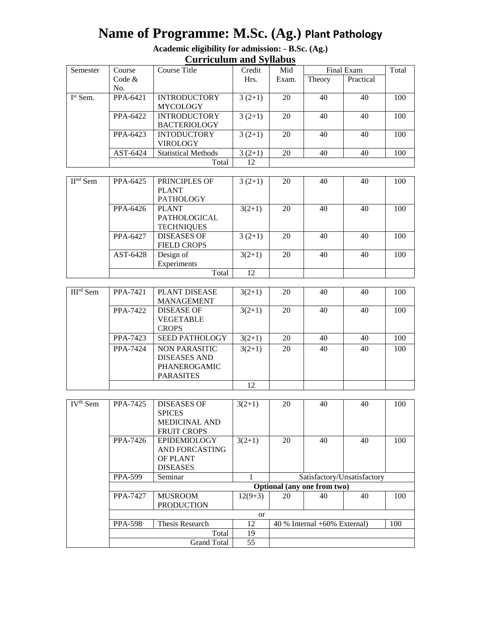# **Name of Programme: M.Sc. (Ag.) Plant Pathology**

| Academic eligibility for admission: - B.Sc. (Ag.) |
|---------------------------------------------------|
| <b>Curriculum and Syllabus</b>                    |

| Semester   | Course   | Course Title               |          | Credit<br>Mid |        | Final Exam |     |
|------------|----------|----------------------------|----------|---------------|--------|------------|-----|
|            | Code $&$ |                            | Hrs.     | Exam.         | Theory | Practical  |     |
|            | No.      |                            |          |               |        |            |     |
| $Ist$ Sem. | PPA-6421 | <b>INTRODUCTORY</b>        | $3(2+1)$ | 20            | 40     | 40         | 100 |
|            |          | <b>MYCOLOGY</b>            |          |               |        |            |     |
|            | PPA-6422 | <b>INTRODUCTORY</b>        | $3(2+1)$ | 20            | 40     | 40         | 100 |
|            |          | <b>BACTERIOLOGY</b>        |          |               |        |            |     |
|            | PPA-6423 | <b>INTODUCTORY</b>         | $3(2+1)$ | 20            | 40     | 40         | 100 |
|            |          | <b>VIROLOGY</b>            |          |               |        |            |     |
|            | AST-6424 | <b>Statistical Methods</b> | $3(2+1)$ | 20            | 40     | 40         | 100 |
|            |          | Total                      | 12       |               |        |            |     |

| $IInd$ Sem | PRINCIPLES OF<br>PPA-6425 |                    | $3(2+1)$ | 20 | 40 | 40 | 100 |
|------------|---------------------------|--------------------|----------|----|----|----|-----|
|            |                           | <b>PLANT</b>       |          |    |    |    |     |
|            |                           | <b>PATHOLOGY</b>   |          |    |    |    |     |
|            | <b>PLANT</b><br>PPA-6426  |                    | $3(2+1)$ | 20 | 40 | 40 | 100 |
|            |                           | PATHOLOGICAL       |          |    |    |    |     |
|            |                           | <b>TECHNIQUES</b>  |          |    |    |    |     |
|            | PPA-6427                  | <b>DISEASES OF</b> | $3(2+1)$ | 20 | 40 | 40 | 100 |
|            |                           | <b>FIELD CROPS</b> |          |    |    |    |     |
|            | AST-6428<br>Design of     |                    | $3(2+1)$ | 20 | 40 | 40 | 100 |
|            |                           | Experiments        |          |    |    |    |     |
|            |                           | Total              | 12       |    |    |    |     |

| $IIIrd$ Sem | PPA-7421 | <b>PLANT DISEASE</b>  | $3(2+1)$ | 20 | 40 | 40 | 100 |
|-------------|----------|-----------------------|----------|----|----|----|-----|
|             |          | <b>MANAGEMENT</b>     |          |    |    |    |     |
|             | PPA-7422 | <b>DISEASE OF</b>     | $3(2+1)$ | 20 | 40 | 40 | 100 |
|             |          | <b>VEGETABLE</b>      |          |    |    |    |     |
|             |          | <b>CROPS</b>          |          |    |    |    |     |
|             | PPA-7423 | <b>SEED PATHOLOGY</b> | $3(2+1)$ | 20 | 40 | 40 | 100 |
|             | PPA-7424 | NON PARASITIC         | $3(2+1)$ | 20 | 40 | 40 | 100 |
|             |          | <b>DISEASES AND</b>   |          |    |    |    |     |
|             |          | PHANEROGAMIC          |          |    |    |    |     |
|             |          | <b>PARASITES</b>      |          |    |    |    |     |
|             |          |                       | 12       |    |    |    |     |

| IV <sup>th</sup> Sem | PPA-7425       | <b>DISEASES OF</b>                                         |                             | 20 | 40  | 40 | 100 |
|----------------------|----------------|------------------------------------------------------------|-----------------------------|----|-----|----|-----|
|                      |                |                                                            | $3(2+1)$                    |    |     |    |     |
|                      |                | <b>SPICES</b>                                              |                             |    |     |    |     |
|                      |                | <b>MEDICINAL AND</b>                                       |                             |    |     |    |     |
|                      |                | <b>FRUIT CROPS</b>                                         |                             |    |     |    |     |
|                      | PPA-7426       | EPIDEMIOLOGY                                               | $3(2+1)$                    | 20 | 40  | 40 | 100 |
|                      |                | AND FORCASTING                                             |                             |    |     |    |     |
|                      |                | <b>OF PLANT</b>                                            |                             |    |     |    |     |
|                      |                | <b>DISEASES</b>                                            |                             |    |     |    |     |
|                      | <b>PPA-599</b> | Seminar                                                    | Satisfactory/Unsatisfactory |    |     |    |     |
|                      |                |                                                            | Optional (any one from two) |    |     |    |     |
|                      | PPA-7427       | <b>MUSROOM</b>                                             | $12(9+3)$                   | 20 | 40  | 40 | 100 |
|                      |                | <b>PRODUCTION</b>                                          |                             |    |     |    |     |
|                      |                | <sub>or</sub>                                              |                             |    |     |    |     |
|                      | <b>PPA-598</b> | Thesis Research<br>12<br>$40\%$ Internal $+60\%$ External) |                             |    | 100 |    |     |
|                      |                | Total                                                      |                             |    |     |    |     |
|                      |                |                                                            |                             |    |     |    |     |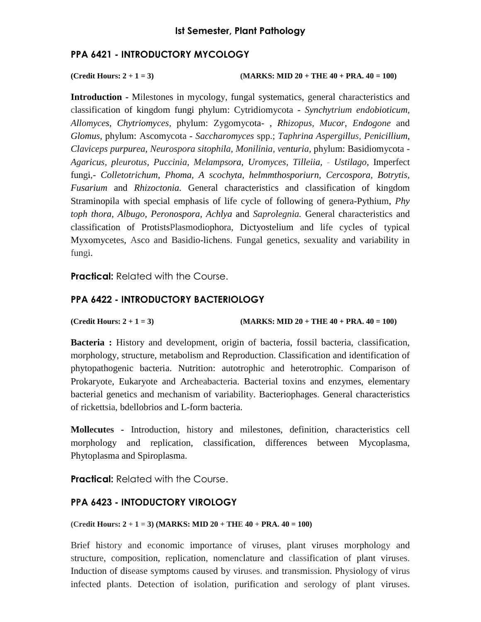#### **PPA 6421 - INTRODUCTORY MYCOLOGY**

**(Credit Hours: 2** + 1 = 3) **(MARKS: MID 20** + THE 40 + PRA.  $40 = 100$ )

**Introduction -** Milestones in mycology, fungal systematics, general characteristics and classification of kingdom fungi phylum: Cytridiomycota - *Synchytrium endobioticum, Allomyces, Chytriomyces,* phylum: Zygomycota- , *Rhizopus, Mucor, Endogone* and *Glomus,* phylum: Ascomycota - *Saccharomyces* spp.; *Taphrina Aspergillus, Penicillium, Claviceps purpurea, Neurospora sitophila, Monilinia, venturia,* phylum: Basidiomycota - *Agaricus, pleurotus, Puccinia, Melampsora, Uromyces, Tilleiia,* - *Ustilago,* Imperfect fungi,- *Colletotrichum, Phoma, A scochyta, helmmthosporiurn, Cercospora, Botrytis, Fusarium* and *Rhizoctonia.* General characteristics and classification of kingdom Straminopila with special emphasis of life cycle of following of genera-Pythium, *Phy toph thora, Albugo, Peronospora, Achlya* and *Saprolegnia.* General characteristics and classification of ProtistsPlasmodiophora, Dictyostelium and life cycles of typical Myxomycetes, Asco and Basidio-lichens. Fungal genetics, sexuality and variability in fungi.

**Practical:** Related with the Course.

# **PPA 6422 - INTRODUCTORY BACTERIOLOGY**

**(Credit Hours: 2 + 1 = 3) (MARKS: MID 20 + THE 40 + PRA. 40 = 100)** 

**Bacteria :** History and development, origin of bacteria, fossil bacteria, classification, morphology, structure, metabolism and Reproduction. Classification and identification of phytopathogenic bacteria. Nutrition: autotrophic and heterotrophic. Comparison of Prokaryote, Eukaryote and Archeabacteria. Bacterial toxins and enzymes, elementary bacterial genetics and mechanism of variability. Bacteriophages. General characteristics of rickettsia, bdellobrios and L-form bacteria.

**Mollecutes -** Introduction, history and milestones, definition, characteristics cell morphology and replication, classification, differences between Mycoplasma, Phytoplasma and Spiroplasma.

**Practical:** Related with the Course.

# **PPA 6423 - INTODUCTORY VIROLOGY**

#### **(Credit Hours: 2 + 1 = 3) (MARKS: MID 20 + THE 40 + PRA. 40 = 100)**

Brief history and economic importance of viruses, plant viruses morphology and structure, composition, replication, nomenclature and classification of plant viruses. Induction of disease symptoms caused by viruses. and transmission. Physiology of virus infected plants. Detection of isolation, purification and serology of plant viruses.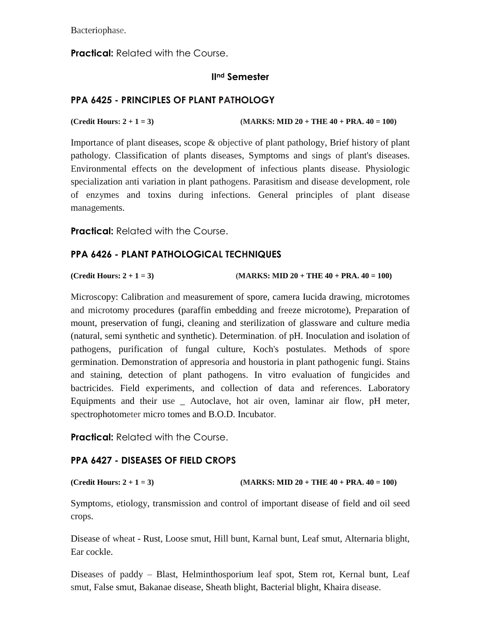Bacteriophase.

**Practical:** Related with the Course.

### **IInd Semester**

# **PPA 6425 - PRINCIPLES OF PLANT PATHOLOGY**

**(Credit Hours: 2 + 1 = 3) (MARKS: MID 20 + THE 40 + PRA. 40 = 100)** 

Importance of plant diseases, scope & objective of plant pathology, Brief history of plant pathology. Classification of plants diseases, Symptoms and sings of plant's diseases. Environmental effects on the development of infectious plants disease. Physiologic specialization anti variation in plant pathogens. Parasitism and disease development, role of enzymes and toxins during infections. General principles of plant disease managements.

**Practical:** Related with the Course.

### **PPA 6426 - PLANT PATHOLOGICAL TECHNIQUES**

**(Credit Hours: 2 + 1 = 3) (MARKS: MID 20 + THE 40 + PRA. 40 = 100)** 

Microscopy: Calibration and measurement of spore, camera Iucida drawing, microtomes and microtomy procedures (paraffin embedding and freeze microtome), Preparation of mount, preservation of fungi, cleaning and sterilization of glassware and culture media (natural, semi synthetic and synthetic). Determination. of pH. Inoculation and isolation of pathogens, purification of fungal culture, Koch's postulates. Methods of spore germination. Demonstration of appresoria and houstoria in plant pathogenic fungi. Stains and staining, detection of plant pathogens. In vitro evaluation of fungicides and bactricides. Field experiments, and collection of data and references. Laboratory Equipments and their use \_ Autoclave, hot air oven, laminar air flow, pH meter, spectrophotometer micro tomes and B.O.D. Incubator.

**Practical:** Related with the Course.

# **PPA 6427 - DISEASES OF FIELD CROPS**

**(Credit Hours: 2 + 1 = 3) (MARKS: MID 20 + THE 40 + PRA. 40 = 100)** 

Symptoms, etiology, transmission and control of important disease of field and oil seed crops.

Disease of wheat - Rust, Loose smut, Hill bunt, Karnal bunt, Leaf smut, Alternaria blight, Ear cockle.

Diseases of paddy – Blast, Helminthosporium leaf spot, Stem rot, Kernal bunt, Leaf smut, False smut, Bakanae disease, Sheath blight, Bacterial blight, Khaira disease.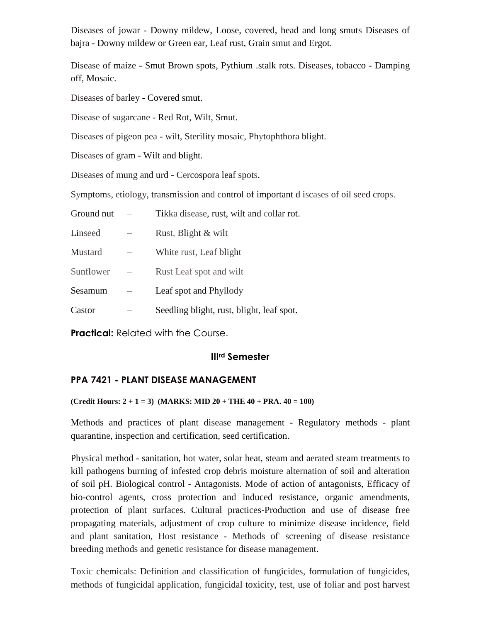Diseases of jowar - Downy mildew, Loose, covered, head and long smuts Diseases of bajra - Downy mildew or Green ear, Leaf rust, Grain smut and Ergot.

Disease of maize - Smut Brown spots, Pythium .stalk rots. Diseases, tobacco - Damping off, Mosaic.

Diseases of barley - Covered smut.

Disease of sugarcane - Red Rot, Wilt, Smut.

Diseases of pigeon pea - wilt, Sterility mosaic, Phytophthora blight.

Diseases of gram - Wilt and blight.

Diseases of mung and urd - Cercospora leaf spots.

Symptoms, etiology, transmission and control of important d iscases of oil seed crops.

| Ground nut     | Tikka disease, rust, wilt and collar rot. |
|----------------|-------------------------------------------|
| Linseed        | Rust, Blight & wilt                       |
| <b>Mustard</b> | White rust, Leaf blight                   |
| Sunflower      | Rust Leaf spot and wilt                   |
| Sesamum        | Leaf spot and Phyllody                    |
| Castor         | Seedling blight, rust, blight, leaf spot. |

**Practical:** Related with the Course.

#### **IIIrd Semester**

#### **PPA 7421 - PLANT DISEASE MANAGEMENT**

#### $(Credit Hours: 2 + 1 = 3) (MARKS: MID 20 + THE 40 + PRA. 40 = 100)$

Methods and practices of plant disease management - Regulatory methods - plant quarantine, inspection and certification, seed certification.

Physical method - sanitation, hot water, solar heat, steam and aerated steam treatments to kill pathogens burning of infested crop debris moisture alternation of soil and alteration of soil pH. Biological control - Antagonists. Mode of action of antagonists, Efficacy of bio-control agents, cross protection and induced resistance, organic amendments, protection of plant surfaces. Cultural practices-Production and use of disease free propagating materials, adjustment of crop culture to minimize disease incidence, field and plant sanitation, Host resistance - Methods of' screening of disease resistance breeding methods and genetic resistance for disease management.

Toxic chemicals: Definition and classification of fungicides, formulation of fungicides, methods of fungicidal application, fungicidal toxicity, test, use of foliar and post harvest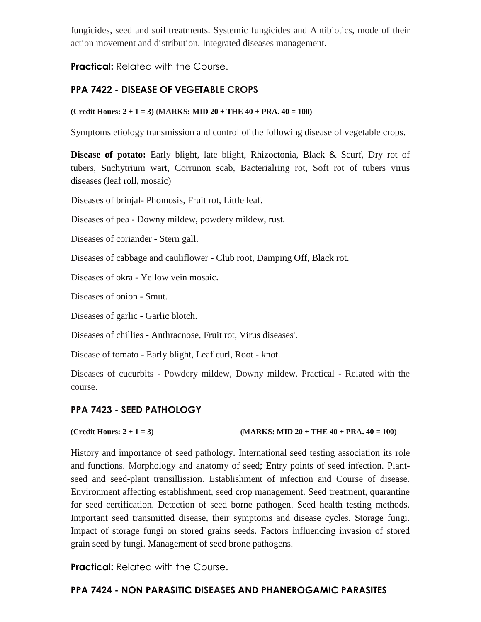fungicides, seed and soil treatments. Systemic fungicides and Antibiotics, mode of their action movement and distribution. Integrated diseases management.

**Practical:** Related with the Course.

# **PPA 7422 - DISEASE OF VEGETABLE CROPS**

#### **(Credit Hours: 2 + 1 = 3) (MARKS: MID 20 + THE 40 + PRA. 40 = 100)**

Symptoms etiology transmission and control of the following disease of vegetable crops.

**Disease of potato:** Early blight, late blight, Rhizoctonia, Black & Scurf, Dry rot of tubers, Snchytrium wart, Corrunon scab, Bacterialring rot, Soft rot of tubers virus diseases (leaf roll, mosaic)

Diseases of brinjal- Phomosis, Fruit rot, Little leaf.

Diseases of pea - Downy mildew, powdery mildew, rust.

Diseases of coriander - Stern gall.

Diseases of cabbage and cauliflower - Club root, Damping Off, Black rot.

Diseases of okra - Yellow vein mosaic.

Diseases of onion - Smut.

Diseases of garlic - Garlic blotch.

Diseases of chillies - Anthracnose, Fruit rot, Virus diseases'.

Disease of tomato - Early blight, Leaf curl, Root - knot.

Diseases of cucurbits - Powdery mildew, Downy mildew. Practical - Related with the course.

# **PPA 7423 - SEED PATHOLOGY**

# **(Credit Hours: 2 + 1 = 3) (MARKS: MID 20 + THE 40 + PRA. 40 = 100)**

History and importance of seed pathology. International seed testing association its role and functions. Morphology and anatomy of seed; Entry points of seed infection. Plantseed and seed-plant transillission. Establishment of infection and Course of disease. Environment affecting establishment, seed crop management. Seed treatment, quarantine for seed certification. Detection of seed borne pathogen. Seed health testing methods. Important seed transmitted disease, their symptoms and disease cycles. Storage fungi. Impact of storage fungi on stored grains seeds. Factors influencing invasion of stored grain seed by fungi. Management of seed brone pathogens.

**Practical:** Related with the Course.

# **PPA 7424 - NON PARASITIC DISEASES AND PHANEROGAMIC PARASITES**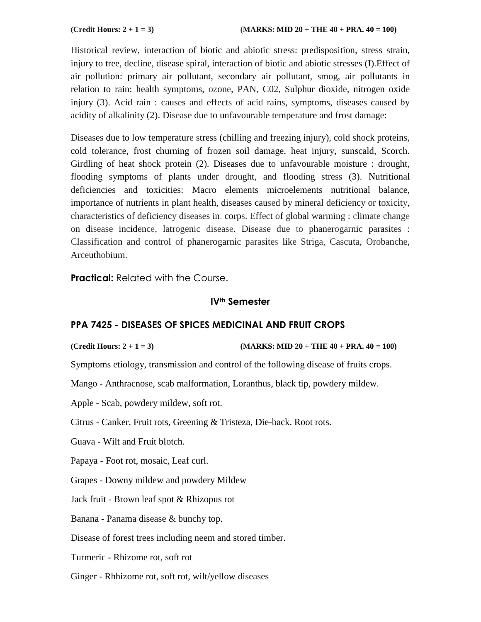Historical review, interaction of biotic and abiotic stress: predisposition, stress strain, injury to tree, decline, disease spiral, interaction of biotic and abiotic stresses (I).Effect of air pollution: primary air pollutant, secondary air pollutant, smog, air pollutants in relation to rain: health symptoms, ozone, PAN, C02, Sulphur dioxide, nitrogen oxide injury (3). Acid rain : causes and effects of acid rains, symptoms, diseases caused by acidity of alkalinity (2). Disease due to unfavourable temperature and frost damage:

Diseases due to low temperature stress (chilling and freezing injury), cold shock proteins, cold tolerance, frost churning of frozen soil damage, heat injury, sunscald, Scorch. Girdling of heat shock protein (2). Diseases due to unfavourable moisture : drought, flooding symptoms of plants under drought, and flooding stress (3). Nutritional deficiencies and toxicities: Macro elements microelements nutritional balance, importance of nutrients in plant health, diseases caused by mineral deficiency or toxicity, characteristics of deficiency diseases in. corps. Effect of global warming : climate change on disease incidence, latrogenic disease. Disease due to phanerogarnic parasites : Classification and control of phanerogarnic parasites like Striga, Cascuta, Orobanche, Arceuthobium.

**Practical:** Related with the Course.

#### **IVth Semester**

#### **PPA 7425 - DISEASES OF SPICES MEDICINAL AND FRUIT CROPS**

**(Credit Hours: 2 + 1 = 3) (MARKS: MID 20 + THE 40 + PRA. 40 = 100)** 

Symptoms etiology, transmission and control of the following disease of fruits crops.

Mango - Anthracnose, scab malformation, Loranthus, black tip, powdery mildew.

Apple - Scab, powdery mildew, soft rot.

Citrus - Canker, Fruit rots, Greening & Tristeza, Die-back. Root rots.

Guava - Wilt and Fruit blotch.

Papaya - Foot rot, mosaic, Leaf curl.

Grapes - Downy mildew and powdery Mildew

Jack fruit - Brown leaf spot & Rhizopus rot

Banana - Panama disease & bunchy top.

Disease of forest trees including neem and stored timber.

Turmeric - Rhizome rot, soft rot

Ginger - Rhhizome rot, soft rot, wilt/yellow diseases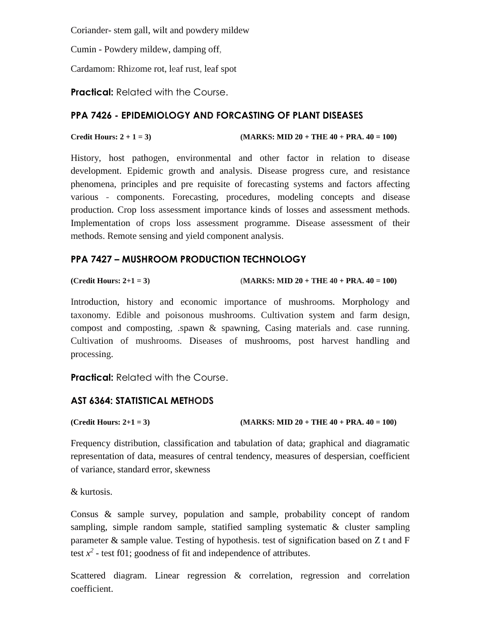Coriander- stem gall, wilt and powdery mildew

Cumin - Powdery mildew, damping off,

Cardamom: Rhizome rot, leaf rust, leaf spot

**Practical:** Related with the Course.

#### **PPA 7426 - EPIDEMIOLOGY AND FORCASTING OF PLANT DISEASES**

**Credit Hours: 2** + 1 = 3) **(MARKS: MID 20** + THE 40 + PRA. 40 = 100)

History, host pathogen, environmental and other factor in relation to disease development. Epidemic growth and analysis. Disease progress cure, and resistance phenomena, principles and pre requisite of forecasting systems and factors affecting various - components. Forecasting, procedures, modeling concepts and disease production. Crop loss assessment importance kinds of losses and assessment methods. Implementation of crops loss assessment programme. Disease assessment of their methods. Remote sensing and yield component analysis.

### **PPA 7427 – MUSHROOM PRODUCTION TECHNOLOGY**

```
(Credit Hours: 2+1 = 3) (MARKS: MID 20 + THE 40 + PRA. 40 = 100)
```
Introduction, history and economic importance of mushrooms. Morphology and taxonomy. Edible and poisonous mushrooms. Cultivation system and farm design, compost and composting, .spawn & spawning, Casing materials and. case running. Cultivation of mushrooms. Diseases of mushrooms, post harvest handling and processing.

**Practical:** Related with the Course.

# **AST 6364: STATISTICAL METHODS**

```
(Credit Hours: 2+1 = 3) (MARKS: MID 20 + THE 40 + PRA. 40 = 100)
```
Frequency distribution, classification and tabulation of data; graphical and diagramatic representation of data, measures of central tendency, measures of despersian, coefficient of variance, standard error, skewness

& kurtosis.

Consus & sample survey, population and sample, probability concept of random sampling, simple random sample, statified sampling systematic & cluster sampling parameter & sample value. Testing of hypothesis. test of signification based on Z t and F test  $x^2$  - test f01; goodness of fit and independence of attributes.

Scattered diagram. Linear regression & correlation, regression and correlation coefficient.